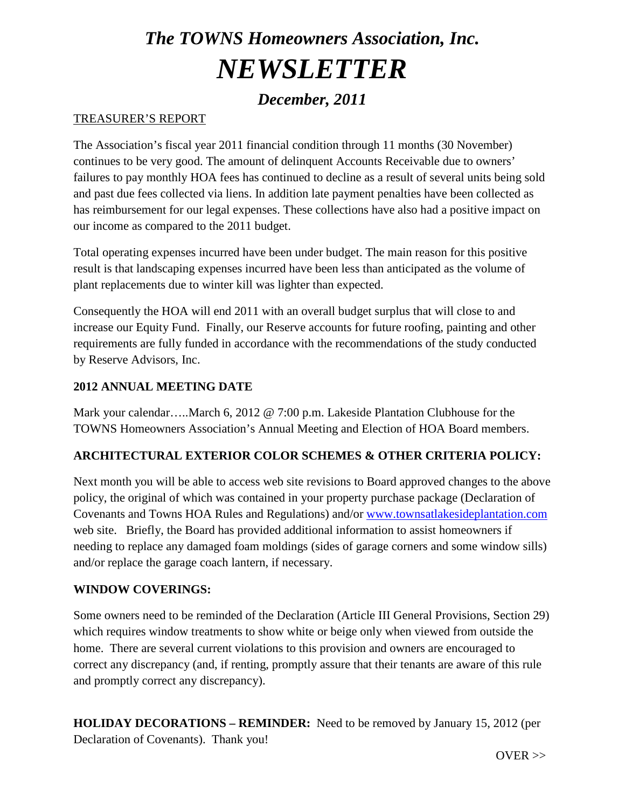# *The TOWNS Homeowners Association, Inc. NEWSLETTER*

## *December, 2011*

#### TREASURER'S REPORT

The Association's fiscal year 2011 financial condition through 11 months (30 November) continues to be very good. The amount of delinquent Accounts Receivable due to owners' failures to pay monthly HOA fees has continued to decline as a result of several units being sold and past due fees collected via liens. In addition late payment penalties have been collected as has reimbursement for our legal expenses. These collections have also had a positive impact on our income as compared to the 2011 budget.

Total operating expenses incurred have been under budget. The main reason for this positive result is that landscaping expenses incurred have been less than anticipated as the volume of plant replacements due to winter kill was lighter than expected.

Consequently the HOA will end 2011 with an overall budget surplus that will close to and increase our Equity Fund. Finally, our Reserve accounts for future roofing, painting and other requirements are fully funded in accordance with the recommendations of the study conducted by Reserve Advisors, Inc.

#### **2012 ANNUAL MEETING DATE**

Mark your calendar…..March 6, 2012 @ 7:00 p.m. Lakeside Plantation Clubhouse for the TOWNS Homeowners Association's Annual Meeting and Election of HOA Board members.

#### **ARCHITECTURAL EXTERIOR COLOR SCHEMES & OTHER CRITERIA POLICY:**

Next month you will be able to access web site revisions to Board approved changes to the above policy, the original of which was contained in your property purchase package (Declaration of Covenants and Towns HOA Rules and Regulations) and/or [www.townsatlakesideplantation.com](http://www.townsatlakesideplantation.com/) web site. Briefly, the Board has provided additional information to assist homeowners if needing to replace any damaged foam moldings (sides of garage corners and some window sills) and/or replace the garage coach lantern, if necessary.

#### **WINDOW COVERINGS:**

Some owners need to be reminded of the Declaration (Article III General Provisions, Section 29) which requires window treatments to show white or beige only when viewed from outside the home. There are several current violations to this provision and owners are encouraged to correct any discrepancy (and, if renting, promptly assure that their tenants are aware of this rule and promptly correct any discrepancy).

**HOLIDAY DECORATIONS – REMINDER:** Need to be removed by January 15, 2012 (per Declaration of Covenants). Thank you!